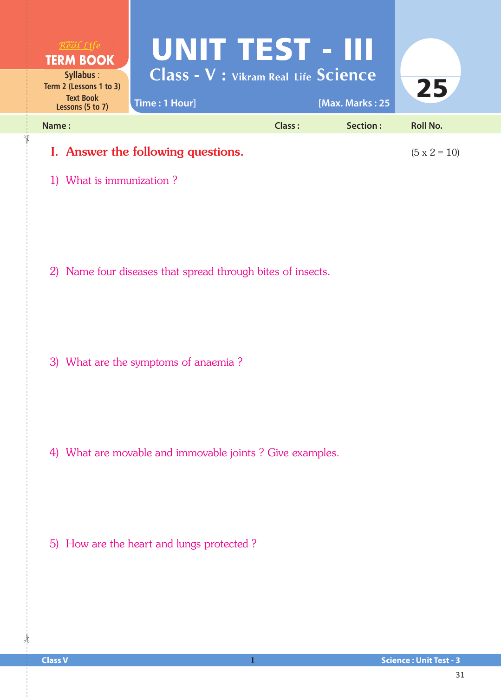

1) What is immunization ?

2) Name four diseases that spread through bites of insects.

3) What are the symptoms of anaemia ?

4) What are movable and immovable joints ? Give examples.

5) How are the heart and lungs protected ?

 $\frac{1}{2}$